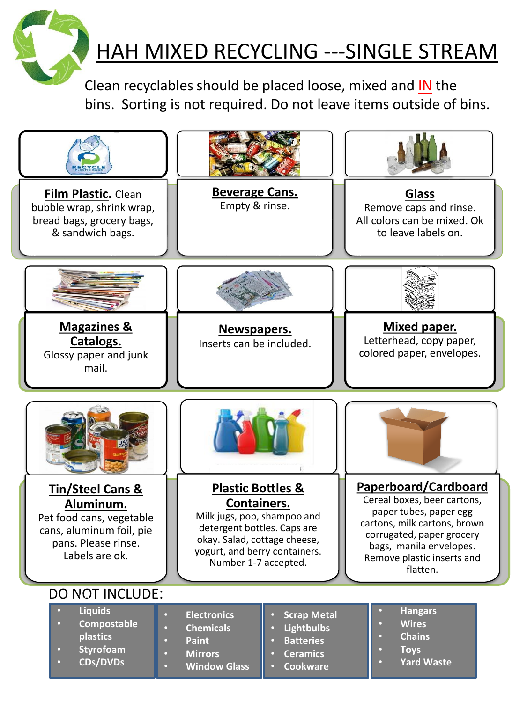

## HAH MIXED RECYCLING ---SINGLE STREAM

Clean recyclables should be placed loose, mixed and IN the bins. Sorting is not required. Do not leave items outside of bins.